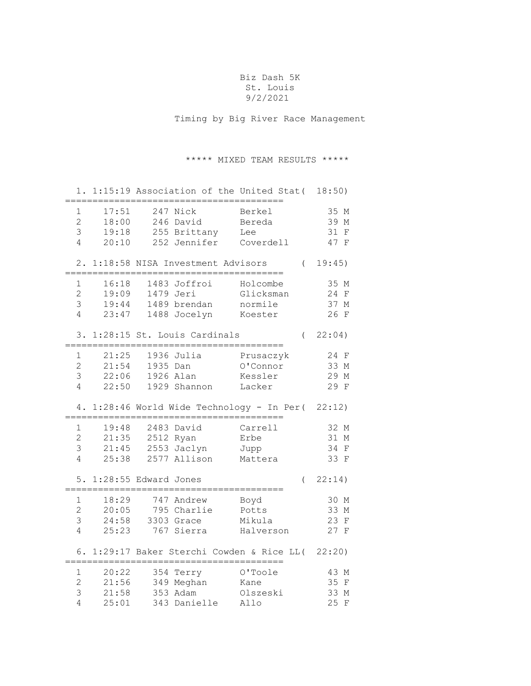## Biz Dash 5K St. Louis 9/2/2021

Timing by Big River Race Management

## \*\*\*\*\* MIXED TEAM RESULTS \*\*\*\*\*

|                                                       |                                  |           |                                                                   | 1. 1:15:19 Association of the United Stat( 18:50) |          |                                           |
|-------------------------------------------------------|----------------------------------|-----------|-------------------------------------------------------------------|---------------------------------------------------|----------|-------------------------------------------|
| $\mathbf{1}$<br>$\overline{2}$<br>3<br>$\overline{4}$ | 17:51<br>18:00<br>19:18<br>20:10 |           | 247 Nick<br>246 David<br>255 Brittany<br>252 Jennifer Coverdell   | Berkel<br>Bereda<br>Lee                           |          | 35 M<br>39 M<br>31<br>$\mathbf F$<br>47 F |
|                                                       |                                  | =====     | 2. 1:18:58 NISA Investment Advisors<br>========================== |                                                   |          | (19:45)                                   |
| 1<br>$\overline{2}$<br>3<br>$\overline{4}$            | 16:18<br>19:09<br>19:44<br>23:47 |           | 1483 Joffroi<br>1479 Jeri<br>1489 brendan<br>1488 Jocelyn         | Holcombe<br>Glicksman<br>normile<br>Koester       |          | 35 M<br>24 F<br>37 M<br>26 F              |
|                                                       |                                  |           | 3. 1:28:15 St. Louis Cardinals                                    |                                                   | $\left($ | 22:04)                                    |
| 1<br>$\overline{2}$<br>3<br>$\overline{4}$            | 21:25<br>21:54<br>22:06<br>22:50 | 1935 Dan  | 1936 Julia<br>1926 Alan<br>1929 Shannon                           | Prusaczyk<br>O'Connor<br>Kessler<br>Lacker        |          | 24 F<br>33 M<br>29 M<br>29 F              |
| 4.                                                    |                                  |           | 1:28:46 World Wide Technology - In Per( 22:12)                    | ===============                                   |          |                                           |
| 1<br>$\overline{2}$                                   | 19:48<br>21:35                   |           | 2483 David                                                        | Carrell                                           |          | 32 M                                      |
| 3<br>4                                                | 21:45<br>25:38                   | 2512 Ryan | 2553 Jaclyn<br>2577 Allison                                       | Erbe<br>Jupp<br>Mattera                           |          | 31 M<br>34 F<br>33 F                      |
|                                                       | 5. 1:28:55 Edward Jones          |           |                                                                   |                                                   | $\left($ | 22:14)                                    |
| $\mathbf 1$<br>$\overline{2}$<br>3<br>4               | 18:29<br>20:05<br>24:58<br>25:23 |           | 747 Andrew<br>795 Charlie<br>3303 Grace<br>767 Sierra             | Boyd<br>Potts<br>Mikula<br>Halverson              |          | 30 M<br>33 M<br>23 F<br>27 F              |
|                                                       |                                  |           | 6. 1:29:17 Baker Sterchi Cowden & Rice LL( 22:20)                 |                                                   |          |                                           |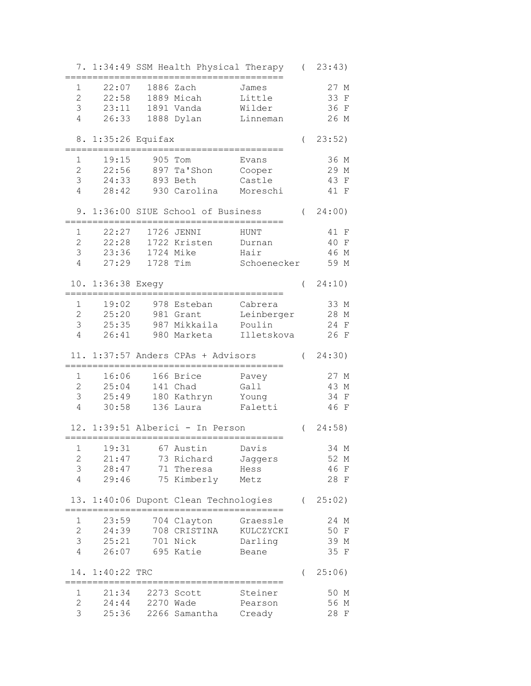|                |                    |                                    | 7. 1:34:49 SSM Health Physical Therapy (23:43) |          |                    |
|----------------|--------------------|------------------------------------|------------------------------------------------|----------|--------------------|
| $\mathbf 1$    | 22:07              | 1886 Zach                          | James                                          |          | 27 M               |
| $\overline{2}$ | 22:58              |                                    |                                                |          | 33 F               |
|                |                    | 1889 Micah                         | Little                                         |          |                    |
| 3              | 23:11              | 1891 Vanda                         | Wilder                                         |          | 36 F               |
| $\sqrt{4}$     | 26:33              | 1888 Dylan                         | Linneman                                       |          | 26 M               |
|                | 8. 1:35:26 Equifax |                                    |                                                | $\left($ | 23:52)             |
| 1              | 19:15              | 905 Tom                            | Evans                                          |          | 36 M               |
| $\overline{c}$ | 22:56              | 897 Ta'Shon                        | Cooper                                         |          | 29 M               |
| 3              | 24:33              | 893 Beth                           | Castle                                         |          | 43 F               |
| 4              | 28:42              | 930 Carolina                       | Moreschi                                       |          | 41 F               |
|                |                    | 9. 1:36:00 SIUE School of Business |                                                |          | (24:00)            |
|                |                    |                                    |                                                |          |                    |
| $\mathbf 1$    | 22:27              | 1726 JENNI                         | HUNT                                           |          | 41 F               |
| $\overline{c}$ | 22:28              | 1722 Kristen                       | Durnan                                         |          | 40 F               |
| 3              | 23:36              | 1724 Mike                          | Hair                                           |          | 46 M               |
| 4              | 27:29              | 1728 Tim                           | Schoenecker                                    |          | 59 M               |
|                | 10. 1:36:38 Exegy  |                                    |                                                | $\left($ | 24:10)             |
| $\mathbf 1$    | 19:02              | 978 Esteban                        | Cabrera                                        |          | 33 M               |
| $\mathbf{2}$   | 25:20              | 981 Grant                          | Leinberger                                     |          | 28 M               |
| 3              | 25:35              | 987 Mikkaila                       | Poulin                                         |          | 24 F               |
| 4              | 26:41              | 980 Marketa                        | Illetskova                                     |          | 26 F               |
|                |                    |                                    |                                                |          |                    |
|                |                    | 11. 1:37:57 Anders CPAs + Advisors |                                                | $\left($ | 24:30)             |
| 1              | 16:06              | 166 Brice                          | Pavey                                          |          | 27 M               |
| $\overline{2}$ | 25:04              | 141 Chad                           | Gall                                           |          | 43 M               |
| $\mathcal{S}$  | 25:49              | 180 Kathryn                        | Young                                          |          | 34 F               |
| 4              | 30:58              | 136 Laura                          | Faletti                                        |          | 46 F               |
|                |                    |                                    |                                                |          |                    |
|                |                    | 12. 1:39:51 Alberici - In Person   |                                                |          | (24:58)            |
| $\mathbf{1}$   | 19:31              | 67 Austin                          | Davis                                          |          | 34 M               |
| $\mathbf 2$    | 21:47              | 73 Richard                         | Jaggers                                        |          | 52 M               |
| 3              | 28:47              | 71 Theresa                         | Hess                                           |          | 46<br>$\mathbf{F}$ |
| 4              | 29:46              | 75 Kimberly                        | Metz                                           |          | 28 F               |
|                |                    |                                    |                                                |          |                    |
| 13.            |                    | 1:40:06 Dupont Clean Technologies  |                                                | $\left($ | 25:02)             |
| 1              | 23:59              | 704 Clayton                        | Graessle                                       |          | 24 M               |
| $\overline{c}$ | 24:39              | 708 CRISTINA                       | KULCZYCKI                                      |          | 50 F               |
| 3              | 25:21              | 701 Nick                           | Darling                                        |          | 39 M               |
| 4              | 26:07              | 695 Katie                          | Beane                                          |          | 35 F               |
| 14.            | 1:40:22 TRC        |                                    |                                                |          | 25:06)             |
|                |                    |                                    |                                                | (        |                    |
| 1              | 21:34              | 2273 Scott                         | Steiner                                        |          | 50 M               |
| $\overline{2}$ | 24:44              | 2270 Wade                          | Pearson                                        |          | 56 M               |
| 3              | 25:36              | 2266 Samantha                      | Cready                                         |          | 28 F               |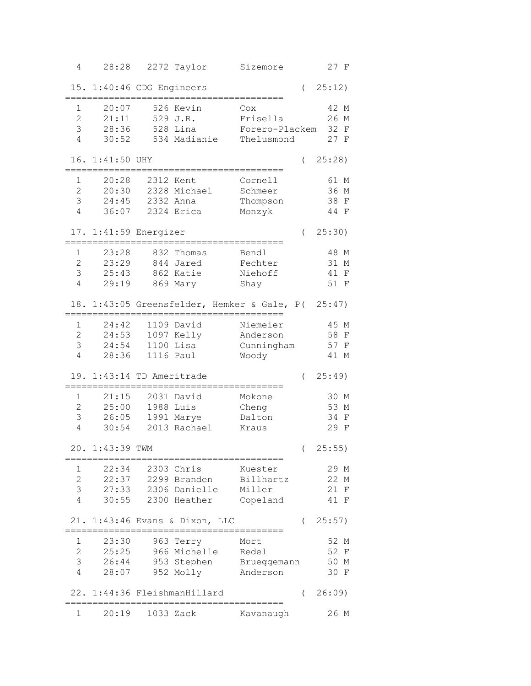| 4              | 28:28                     | 2272 Taylor                  | Sizemore                                           |            | 27 F               |
|----------------|---------------------------|------------------------------|----------------------------------------------------|------------|--------------------|
|                | 15. 1:40:46 CDG Engineers |                              |                                                    | $\left($   | 25:12)             |
| $\mathbf 1$    | 20:07                     | 526 Kevin                    | Cox                                                |            | 42 M               |
| $\overline{c}$ | 21:11                     | 529 J.R.                     | Frisella                                           |            | 26 M               |
| 3              | 28:36                     | 528 Lina                     | Forero-Plackem                                     |            | 32 F               |
| 4              | 30:52                     | 534 Madianie                 | Thelusmond                                         |            | 27 F               |
|                |                           |                              |                                                    |            |                    |
| 16.            | $1:41:50$ UHY             |                              |                                                    | $\left($   | $25:28$ )          |
| 1              | 20:28                     | 2312 Kent                    | Cornell                                            |            | 61 M               |
| $\overline{2}$ | 20:30                     | 2328 Michael                 | Schmeer                                            |            | 36 M               |
| 3              | 24:45                     | 2332 Anna                    | Thompson                                           |            | 38 F               |
| 4              | 36:07                     | 2324 Erica                   | Monzyk                                             |            | 44 F               |
|                | 17. 1:41:59 Energizer     |                              |                                                    | $\left($   | 25:30)             |
| 1              | 23:28                     | 832 Thomas                   | Bendl                                              |            | 48 M               |
| $\overline{c}$ | 23:29                     | 844 Jared                    | Fechter                                            |            | 31 M               |
| 3              | 25:43                     | 862 Katie                    | Niehoff                                            |            | 41<br>$_{\rm F}$   |
| 4              | 29:19                     | 869 Mary                     | Shay                                               |            | 51 F               |
|                |                           |                              |                                                    |            |                    |
|                |                           |                              | 18. 1:43:05 Greensfelder, Hemker & Gale, P( 25:47) |            |                    |
| 1              | 24:42                     | 1109 David                   | Niemeier                                           |            | 45 M               |
| $\overline{2}$ | 24:53                     | 1097 Kelly                   | Anderson                                           |            | 58 F               |
| 3              | 24:54                     | 1100 Lisa                    | Cunningham                                         |            | 57 F               |
| 4              | 28:36                     | 1116 Paul                    | Woody                                              |            | 41 M               |
| 19.            | 1:43:14 TD Ameritrade     |                              |                                                    | (          | 25:49)             |
| $\mathbf{1}$   | 21:15                     | 2031 David                   | Mokone                                             |            | 30 M               |
| $\overline{2}$ | 25:00                     | 1988 Luis                    | Cheng                                              |            | 53 M               |
| 3              | 26:05                     | 1991 Marye                   | Dalton                                             |            | 34<br>$\mathbf{F}$ |
| 4              | 30:54                     | 2013 Rachael                 | Kraus                                              |            | 29 F               |
|                |                           |                              |                                                    |            |                    |
|                | 20. 1:43:39 TWM           |                              |                                                    |            | (25:55)            |
| 1              | 22:34                     | 2303 Chris                   | Kuester                                            |            | 29 M               |
| $\overline{c}$ | 22:37                     | 2299 Branden                 | Billhartz                                          |            | 22 M               |
| 3              | 27:33                     | 2306 Danielle                | Miller                                             |            | 21<br>F            |
| 4              | 30:55                     | 2300 Heather                 | Copeland                                           |            | 41 F               |
| 21.            |                           | 1:43:46 Evans & Dixon, LLC   |                                                    | $\left($   | 25:57)             |
| 1              | 23:30                     | 963 Terry                    | Mort                                               |            | 52 M               |
| $\mathbf{2}$   | 25:25                     | 966 Michelle                 | Redel                                              |            | 52<br>F            |
| 3              | 26:44                     |                              | 953 Stephen Brueggemann                            |            | 50 M               |
| $\overline{4}$ | 28:07                     | 952 Molly                    | Anderson                                           |            | 30 F               |
|                |                           |                              |                                                    |            |                    |
|                |                           | 22. 1:44:36 FleishmanHillard |                                                    | $\sqrt{2}$ | 26:09              |
| 1              | 20:19                     | 1033 Zack                    | Kavanaugh                                          |            | 26 M               |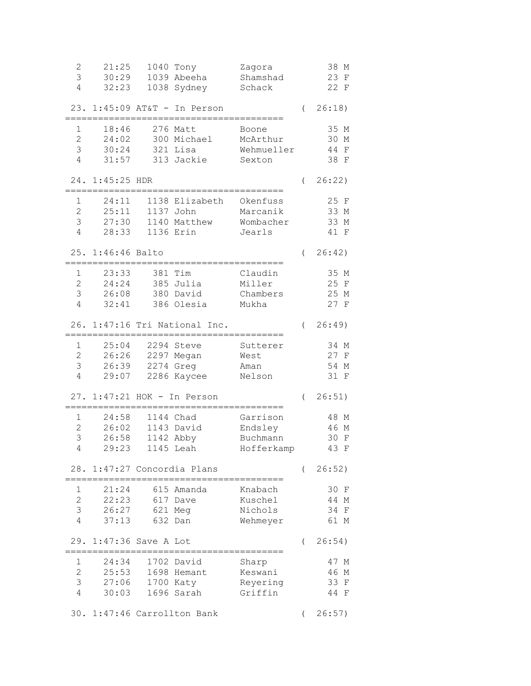| $\mathbf 2$<br>3<br>4                      | 21:25<br>30:29<br>32:23          | 1040 Tony<br>1039 Abeeha<br>1038 Sydney                  | Zagora<br>Shamshad<br>Schack                  |          | 38 M<br>23<br>$\mathbf{F}$<br>22 F           |
|--------------------------------------------|----------------------------------|----------------------------------------------------------|-----------------------------------------------|----------|----------------------------------------------|
| 23.                                        |                                  | $1:45:09$ AT&T - In Person                               |                                               | $\left($ | 26:18)                                       |
| 1<br>$\overline{2}$<br>3<br>4              | 18:46<br>24:02<br>30:24<br>31:57 | 276 Matt<br>300 Michael<br>321 Lisa<br>313 Jackie        | Boone<br>McArthur<br>Wehmueller<br>Sexton     |          | 35 M<br>30 M<br>44<br>$\mathbf{F}$<br>38 F   |
|                                            | 24. 1:45:25 HDR                  |                                                          |                                               | $\left($ | 26:22)                                       |
| 1<br>$\overline{c}$<br>3<br>4              | 24:11<br>25:11<br>27:30<br>28:33 | 1138 Elizabeth<br>1137 John<br>1140 Matthew<br>1136 Erin | Okenfuss<br>Marcanik<br>Wombacher<br>Jearls   |          | 25 F<br>33 M<br>33 M<br>41 F                 |
| 25.                                        | $1:46:46$ Balto                  |                                                          |                                               | $\left($ | 26:42)                                       |
| 1<br>$\overline{c}$<br>3<br>$\sqrt{4}$     | 23:33<br>24:24<br>26:08<br>32:41 | 381 Tim<br>385 Julia<br>380 David<br>386 Olesia          | Claudin<br>Miller<br>Chambers<br>Mukha        |          | 35 M<br>25 F<br>25 M<br>27 F                 |
|                                            |                                  | 26. 1:47:16 Tri National Inc.                            |                                               | $\left($ | 26:49                                        |
| 1<br>2<br>3<br>4                           | 25:04<br>26:26<br>26:39<br>29:07 | 2294 Steve<br>2297 Megan<br>2274 Greg<br>2286 Kaycee     | Sutterer<br>West<br>Aman<br>Nelson            |          | 34 M<br>27 F<br>54 M<br>31 F                 |
|                                            |                                  | 27. 1:47:21 HOK - In Person                              |                                               | $\left($ | 26:51)                                       |
| 1<br>$\overline{c}$<br>3<br>$\overline{4}$ | 24:58<br>26:02<br>26:58<br>29:23 | 1144 Chad<br>1143 David<br>1142 Abby<br>1145 Leah        | Garrison<br>Endsley<br>Buchmann<br>Hofferkamp |          | 48 M<br>46 M<br>30<br>$\mathbf{F}$<br>43 F   |
|                                            |                                  | 28. 1:47:27 Concordia Plans                              |                                               | $\left($ | 26:52)                                       |
| 1<br>$\mathbf{2}$<br>3<br>$\overline{4}$   | 21:24<br>22:23<br>26:27<br>37:13 | 615 Amanda<br>617 Dave<br>621 Meg<br>632 Dan             | Knabach<br>Kuschel<br>Nichols<br>Wehmeyer     |          | 30 F<br>44<br>М<br>34<br>$\mathbf F$<br>61 M |
| 29.                                        | $1:47:36$ Save A Lot             |                                                          |                                               | $\left($ | 26:54)                                       |
| 1<br>$\overline{2}$<br>3<br>4              | 24:34<br>25:53<br>27:06<br>30:03 | 1702 David<br>1698 Hemant<br>1700 Katy<br>1696 Sarah     | Sharp<br>Keswani<br>Reyering<br>Griffin       |          | 47 M<br>46<br>М<br>33<br>F<br>44<br>F        |
|                                            |                                  | 30. 1:47:46 Carrollton Bank                              |                                               | $\left($ | 26:57)                                       |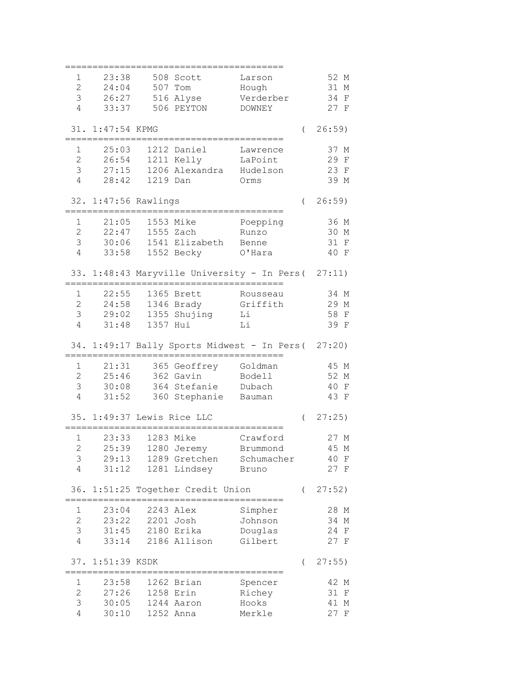| 1                   | 23:38                      |                 | 508 Scott                     | Larson                                              |          | 52 M         |
|---------------------|----------------------------|-----------------|-------------------------------|-----------------------------------------------------|----------|--------------|
| $\overline{2}$      | 24:04                      |                 | 507 Tom                       | Hough                                               |          | 31 M         |
| 3                   | 26:27                      |                 | 516 Alyse                     | Verderber                                           |          | 34 F         |
| 4                   | 33:37                      |                 | 506 PEYTON                    | DOWNEY                                              |          | 27 F         |
|                     |                            |                 |                               |                                                     |          |              |
|                     | 31. 1:47:54 KPMG           |                 |                               |                                                     | $\left($ | 26:59)       |
|                     |                            |                 |                               |                                                     |          |              |
| 1                   | 25:03                      |                 | 1212 Daniel                   | Lawrence                                            |          | 37 M         |
| $\overline{2}$      | 26:54                      |                 | 1211 Kelly                    | LaPoint                                             |          | 29 F         |
| 3                   | 27:15                      |                 | 1206 Alexandra Hudelson       |                                                     |          | 23 F         |
| 4                   | 28:42                      | 1219 Dan        |                               | Orms                                                |          | 39 M         |
|                     |                            |                 |                               |                                                     |          |              |
|                     | 32. 1:47:56 Rawlings       |                 |                               |                                                     | $\left($ | $26:59$ )    |
| $\mathbf 1$         |                            |                 |                               |                                                     |          |              |
| $\overline{2}$      | 21:05                      |                 | 1553 Mike                     | Poepping                                            |          | 36 M         |
|                     | 22:47                      |                 | 1555 Zach                     | Runzo                                               |          | 30 M         |
| 3                   | 30:06                      |                 | 1541 Elizabeth                | Benne                                               |          | 31 F         |
| 4                   | 33:58                      |                 | 1552 Becky                    | O'Hara                                              |          | 40 F         |
|                     |                            |                 |                               | 33. 1:48:43 Maryville University - In Pers( 27:11)  |          |              |
|                     |                            |                 |                               |                                                     |          |              |
| 1                   | 22:55                      |                 | 1365 Brett                    | Rousseau                                            |          | 34 M         |
| $\overline{2}$      | 24:58                      |                 | 1346 Brady                    | Griffith                                            |          | 29 M         |
| 3                   |                            |                 | 29:02 1355 Shujing            | Li                                                  |          | 58 F         |
| $\overline{4}$      | 31:48                      | 1357 Hui        |                               | Li                                                  |          | 39 F         |
|                     |                            |                 |                               |                                                     |          |              |
|                     |                            |                 |                               | 34. 1:49:17 Bally Sports Midwest - In Pers ( 27:20) |          |              |
|                     |                            |                 |                               |                                                     |          |              |
| 1                   | 21:31                      |                 | 365 Geoffrey Goldman          |                                                     |          | 45 M         |
| $\mathbf{2}$        |                            | 25:46 362 Gavin |                               | Bodell                                              |          | 52 M         |
| 3                   |                            |                 | 30:08 364 Stefanie Dubach     |                                                     |          | 40 F         |
| 4                   |                            |                 |                               |                                                     |          |              |
|                     |                            |                 | 31:52 360 Stephanie Bauman    |                                                     |          | 43 F         |
|                     |                            |                 |                               |                                                     |          |              |
|                     | 35. 1:49:37 Lewis Rice LLC |                 |                               |                                                     | $\left($ | 27:25)       |
|                     |                            |                 |                               |                                                     |          |              |
| $\mathbf 1$         | 23:33                      |                 | 1283 Mike                     | Crawford                                            |          | 27 M         |
| $\mathbf{2}$        | 25:39                      |                 | 1280 Jeremy                   | Brummond                                            |          | 45 M         |
| 3                   | 29:13                      |                 | 1289 Gretchen                 | Schumacher                                          |          | 40 F         |
| 4                   | 31:12                      |                 | 1281 Lindsey                  | Bruno                                               |          | 27 F         |
|                     |                            |                 |                               |                                                     | $\left($ |              |
| 36.                 |                            |                 | 1:51:25 Together Credit Union |                                                     |          | 27:52)       |
| 1                   | 23:04                      |                 | 2243 Alex                     | Simpher                                             |          | 28 M         |
| $\overline{2}$      | 23:22                      |                 | 2201 Josh                     | Johnson                                             |          | 34 M         |
| 3                   | 31:45                      |                 | 2180 Erika                    | Douglas                                             |          | 24 F         |
| $\overline{4}$      | 33:14                      |                 | 2186 Allison                  | Gilbert                                             |          | 27 F         |
|                     |                            |                 |                               |                                                     |          |              |
| 37.                 | 1:51:39 KSDK               |                 |                               |                                                     | $\left($ | $27:55$ )    |
|                     |                            |                 |                               |                                                     |          |              |
| 1                   | 23:58                      |                 | 1262 Brian                    | Spencer                                             |          | 42 M         |
| $\overline{2}$      | 27:26                      |                 | 1258 Erin                     | Richey                                              |          | 31 F         |
| 3<br>$\overline{4}$ | 30:05<br>30:10             |                 | 1244 Aaron<br>1252 Anna       | Hooks<br>Merkle                                     |          | 41 M<br>27 F |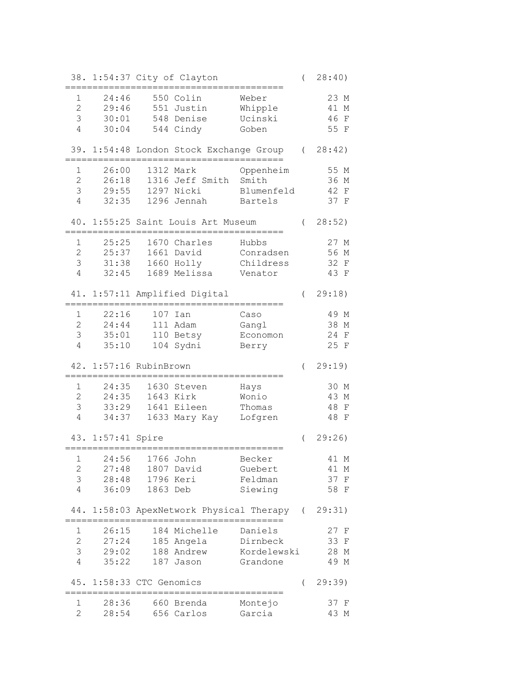|                                     |                               |                 | 38. 1:54:37 City of Clayton                      |                             | $\left($ | 28:40)                                |
|-------------------------------------|-------------------------------|-----------------|--------------------------------------------------|-----------------------------|----------|---------------------------------------|
| 1<br>$\overline{2}$<br>3            | 24:46<br>29:46<br>30:01       |                 | 550 Colin<br>551 Justin<br>548 Denise            | Weber<br>Whipple<br>Ucinski |          | 23 M<br>41<br>М<br>46<br>$\mathbf{F}$ |
| $\overline{4}$                      | 30:04                         |                 | 544 Cindy                                        | Goben                       |          | 55 F                                  |
|                                     |                               |                 | 39. 1:54:48 London Stock Exchange Group          |                             |          | (28:42)                               |
| 1                                   | 26:00                         |                 | 1312 Mark                                        | Oppenheim                   |          | 55 M                                  |
| $\overline{2}$                      | 26:18                         |                 | 1316 Jeff Smith                                  | Smith                       |          | 36 M                                  |
| 3                                   | 29:55                         |                 | 1297 Nicki                                       | Blumenfeld                  |          | 42<br>$\mathbf{F}$                    |
| $\overline{4}$                      | 32:35                         |                 | 1296 Jennah                                      | Bartels                     |          | 37 F                                  |
|                                     |                               |                 | 40. 1:55:25 Saint Louis Art Museum               |                             |          | (28:52)                               |
| $\mathbf 1$                         | 25:25                         |                 | 1670 Charles                                     | Hubbs                       |          | 27 M                                  |
| $\overline{2}$                      | 25:37                         |                 | 1661 David                                       | Conradsen                   |          | 56 M                                  |
| 3                                   | 31:38                         |                 | 1660 Holly                                       | Childress                   |          | 32 F                                  |
| $\overline{4}$                      | 32:45                         |                 | 1689 Melissa                                     | Venator                     |          | 43 F                                  |
|                                     | .____________________________ |                 | 41. 1:57:11 Amplified Digital                    |                             | $\left($ | 29:18)                                |
| $\mathbf{1}$                        | 22:16                         |                 | 107 Ian                                          | Caso                        |          | 49 M                                  |
| $\overline{2}$                      | 24:44                         |                 | 111 Adam                                         | Gangl                       |          | 38 M                                  |
| 3                                   | 35:01                         |                 | 110 Betsy                                        | Economon                    |          | 24<br>$\mathbf F$                     |
| 4                                   | 35:10                         |                 | 104 Sydni                                        | Berry                       |          | 25 F                                  |
|                                     | 42. 1:57:16 RubinBrown        |                 |                                                  |                             | $\left($ | 29:19)                                |
| 1                                   | 24:35                         |                 | 1630 Steven                                      | Hays                        |          | 30 M                                  |
| $\overline{2}$                      | 24:35                         |                 | 1643 Kirk                                        | Wonio                       |          | 43 M                                  |
| 3                                   | 33:29                         |                 | 1641 Eileen                                      | Thomas                      |          | 48<br>$_{\rm F}$                      |
| 4                                   | 34:37                         |                 | 1633 Mary Kay                                    | Lofgren                     |          | 48 F                                  |
|                                     |                               |                 |                                                  |                             |          |                                       |
|                                     | 43. 1:57:41 Spire             |                 |                                                  |                             | $\left($ | 29:26                                 |
|                                     | 1 24:56 1766 John             |                 |                                                  | Becker                      |          | 41 M                                  |
| 2                                   | 27:48                         |                 | 1807 David                                       | Guebert                     |          | 41 M                                  |
| 3                                   |                               | 28:48 1796 Keri |                                                  | Feldman                     |          | 37 F                                  |
| $\overline{4}$                      | 36:09                         | 1863 Deb        |                                                  | Siewing                     |          | 58 F                                  |
|                                     |                               | $=$ $=$ $=$     | 44. 1:58:03 ApexNetwork Physical Therapy (29:31) |                             |          |                                       |
| 1                                   | 26:15                         |                 | 184 Michelle                                     | Daniels                     |          | 27 F                                  |
| $\overline{2}$                      |                               |                 | 27:24 185 Angela Dirnbeck                        |                             |          | 33 F                                  |
| 3                                   |                               |                 | 29:02 188 Andrew Kordelewski                     |                             |          | 28 M                                  |
| 4                                   |                               | 35:22 187 Jason |                                                  | Grandone                    |          | 49 M                                  |
|                                     | 45. 1:58:33 CTC Genomics      |                 |                                                  |                             |          | (29:39)                               |
|                                     | ================              |                 | ;========================                        |                             |          | 37 F                                  |
| 1<br>$2 \left( \frac{1}{2} \right)$ |                               |                 | 28:36 660 Brenda<br>28:54 656 Carlos Garcia      | Montejo                     |          | 43 M                                  |
|                                     |                               |                 |                                                  |                             |          |                                       |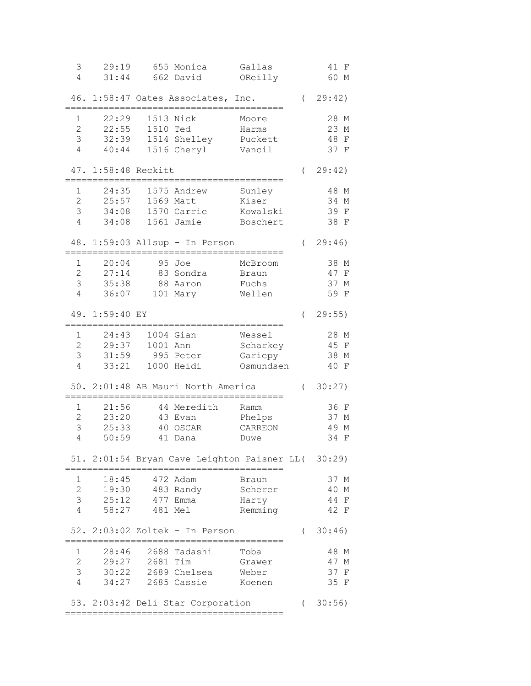| 3<br>4         | 29:19<br>31:44      |          | 655 Monica<br>662 David                                               | Gallas<br>OReilly |            | 41 F<br>60 M       |
|----------------|---------------------|----------|-----------------------------------------------------------------------|-------------------|------------|--------------------|
|                |                     |          | 46. 1:58:47 Oates Associates, Inc.                                    |                   | $\left($   | 29:42)             |
|                |                     |          |                                                                       |                   |            |                    |
| $\mathbf 1$    | 22:29               |          | 1513 Nick                                                             | Moore             |            | 28 M               |
| $\overline{2}$ | 22:55               | 1510 Ted |                                                                       | Harms             |            | 23 M               |
| 3              | 32:39               |          | 1514 Shelley                                                          | Puckett           |            | 48<br>$\mathbf{F}$ |
| 4              | 40:44               |          | 1516 Cheryl                                                           | Vancil            |            | 37 F               |
|                | 47. 1:58:48 Reckitt |          |                                                                       |                   | $\left($   | 29:42)             |
| 1              | 24:35               |          | 1575 Andrew                                                           | Sunley            |            | 48 M               |
| $\overline{2}$ | 25:57               |          | 1569 Matt                                                             | Kiser             |            | 34 M               |
| 3              | 34:08               |          | 1570 Carrie                                                           | Kowalski          |            | 39 F               |
| 4              | 34:08               |          | 1561 Jamie                                                            | Boschert          |            | 38 F               |
|                |                     |          | 48. 1:59:03 Allsup - In Person                                        |                   | $\left($   | 29:46)             |
| 1              | 20:04               |          | 95 Joe                                                                | McBroom           |            | 38 M               |
| 2              | 27:14               |          | 83 Sondra                                                             | Braun             |            | 47 F               |
| 3              | 35:38               |          | 88 Aaron                                                              | Fuchs             |            | 37 M               |
| 4              | 36:07               |          | 101 Mary                                                              | Wellen            |            | 59 F               |
| 49.            | 1:59:40 EY          |          |                                                                       |                   | $\left($   | 29:55)             |
|                |                     |          |                                                                       |                   |            |                    |
| 1              | 24:43               |          | 1004 Gian                                                             | Wessel            |            | 28 M               |
| $\overline{c}$ | 29:37               | 1001 Ann |                                                                       | Scharkey          |            | 45 F               |
| 3              | 31:59               |          | 995 Peter                                                             | Gariepy           |            | 38 M               |
| 4              | 33:21               |          | 1000 Heidi                                                            | Osmundsen         |            | 40 F               |
|                |                     |          | 50. 2:01:48 AB Mauri North America                                    |                   | $\left($   | 30:27)             |
| 1              | 21:56               |          | 44 Meredith                                                           | Ramm              |            | 36 F               |
| 2              | 23:20               |          | 43 Evan                                                               | Phelps            |            | 37 M               |
| 3              | 25:33               |          | 40 OSCAR                                                              | CARREON           |            | 49<br>М            |
| 4              | 50:59               |          | 41 Dana                                                               | Duwe              |            | 34<br>F            |
|                |                     |          | 51. 2:01:54 Bryan Cave Leighton Paisner LL( 30:29)                    |                   |            |                    |
| 1              | 18:45               |          | 472 Adam                                                              | Braun             |            | 37 M               |
| $\overline{2}$ | 19:30               |          | 483 Randy                                                             | Scherer           |            | 40 M               |
| 3              | 25:12               |          | 477 Emma                                                              | Harty             |            | 44 F               |
| $\overline{4}$ | 58:27               | 481 Mel  |                                                                       | Remming           |            | 42 F               |
|                |                     |          | 52. 2:03:02 Zoltek - In Person                                        |                   | $\left($   | 30:46)             |
| 1              | 28:46               |          | 2688 Tadashi                                                          | Toba              |            | 48 M               |
| $\overline{2}$ | 29:27               | 2681 Tim |                                                                       | Grawer            |            | 47 M               |
| 3              | 30:22               |          | 2689 Chelsea                                                          | Weber             |            | 37<br>F            |
| $\overline{4}$ | 34:27               |          | 2685 Cassie                                                           | Koenen            |            | 35 F               |
|                |                     |          |                                                                       |                   |            |                    |
|                |                     |          | 53. 2:03:42 Deli Star Corporation<br>================================ |                   | $\sqrt{2}$ | 30:56)             |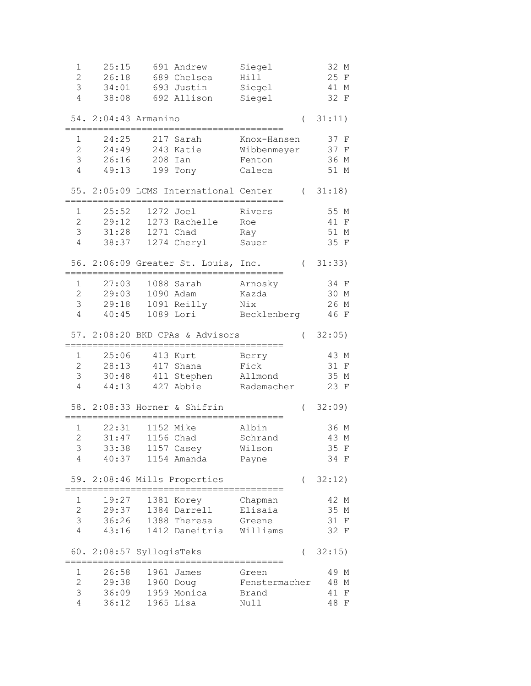| $\mathbf 1$         | 25:15                    |           | 691 Andrew                            | Siegel                        |          | 32 M            |
|---------------------|--------------------------|-----------|---------------------------------------|-------------------------------|----------|-----------------|
| $\overline{c}$      | 26:18                    |           | 689 Chelsea                           | Hill                          |          | 25 F            |
| 3                   | 34:01                    |           | 693 Justin                            | Siegel                        |          | 41 M            |
| $\overline{4}$      | 38:08                    |           | 692 Allison                           | Siegel                        |          | 32 F            |
|                     | 54. 2:04:43 Armanino     |           |                                       |                               | $\left($ | 31:11)          |
|                     |                          |           |                                       |                               |          |                 |
| 1                   | 24:25                    |           | 217 Sarah                             | Knox-Hansen                   |          | 37 F            |
| $\overline{2}$      | 24:49                    |           | 243 Katie                             | Wibbenmeyer                   |          | 37 F            |
| 3                   | 26:16                    | 208 Ian   |                                       | Fenton                        |          | 36 M            |
| 4                   | 49:13                    |           | 199 Tony                              | Caleca                        |          | 51 M            |
|                     |                          |           | 55. 2:05:09 LCMS International Center |                               |          | (31:18)         |
|                     |                          |           |                                       |                               |          |                 |
| 1                   | 25:52                    | 1272 Joel |                                       | Rivers                        |          | 55 M            |
| $\mathbf{2}$        | 29:12                    |           | 1273 Rachelle                         | Roe                           |          | 41 F            |
| 3                   | 31:28                    | 1271 Chad |                                       | Ray                           |          | 51 M            |
| 4                   | 38:37                    |           | 1274 Cheryl                           | Sauer                         |          | 35 F            |
|                     |                          |           | 56. 2:06:09 Greater St. Louis, Inc.   |                               |          | (31:33)         |
| 1                   | 27:03                    |           | 1088 Sarah                            | Arnosky                       |          | 34 F            |
| $\overline{2}$      | 29:03                    |           | 1090 Adam                             | Kazda                         |          | 30 M            |
| 3                   | 29:18                    |           | 1091 Reilly                           | Nix                           |          | 26 M            |
| $\overline{4}$      | 40:45                    |           | 1089 Lori                             | Becklenberg                   |          | 46 F            |
|                     |                          |           |                                       |                               |          |                 |
|                     |                          |           | 57. 2:08:20 BKD CPAs & Advisors       |                               | $\left($ | 32:05)          |
| 1                   | 25:06                    |           | 413 Kurt                              | Berry                         |          | 43 M            |
| $\overline{c}$      | 28:13                    |           | 417 Shana                             | Fick                          |          | 31 F            |
| 3                   |                          |           | 30:48 411 Stephen Allmond             |                               |          | 35 M            |
| 4                   | 44:13                    |           | 427 Abbie                             | Rademacher                    |          | 23 F            |
|                     |                          |           |                                       |                               |          |                 |
|                     |                          |           | 58. 2:08:33 Horner & Shifrin          |                               | $\left($ | 32:09           |
| 1                   | 22:31                    | 1152 Mike |                                       | Albin                         |          | 36 M            |
| $\overline{c}$      | 31:47                    | 1156 Chad |                                       | Schrand                       |          | 43 M            |
| 3                   | 33:38                    |           | 1157 Casey                            | Wilson                        |          | 35 F            |
| 4                   | 40:37                    |           | 1154 Amanda                           | Payne                         |          | 34 F            |
| 59.                 |                          |           | 2:08:46 Mills Properties              |                               | $\left($ | 32:12)          |
|                     |                          |           |                                       |                               |          |                 |
| 1                   | 19:27                    |           | 1381 Korey                            | Chapman                       |          | 42 M            |
| $\overline{2}$      | 29:37                    |           | 1384 Darrell                          | Elisaia                       |          | 35 M            |
| 3                   | 36:26                    |           | 1388 Theresa                          | Greene                        |          | 31 F            |
| $\overline{4}$      | 43:16                    |           | 1412 Daneitria                        | Williams                      |          | 32 F            |
|                     | 60. 2:08:57 SyllogisTeks |           |                                       |                               | (        | 32:15)          |
|                     |                          |           |                                       |                               |          |                 |
| 1<br>$\overline{c}$ | 26:58                    |           | 1961 James                            | Green                         |          | 49 M            |
| 3                   | 29:38<br>36:09           | 1960 Doug | 1959 Monica                           | Fenstermacher<br><b>Brand</b> |          | 48 M<br>41<br>F |
| 4                   | 36:12                    | 1965 Lisa |                                       | Null                          |          | 48<br>F         |
|                     |                          |           |                                       |                               |          |                 |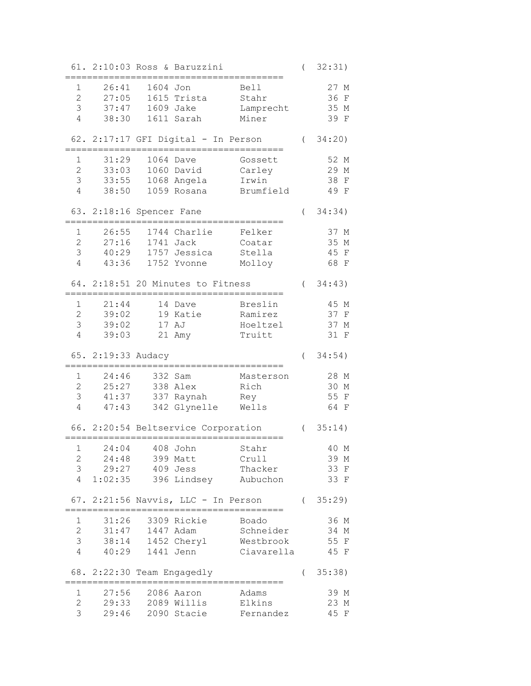|                             |                            |                 | 61. 2:10:03 Ross & Baruzzini        |                                                                 | $\overline{(\ }$ | 32:31)             |
|-----------------------------|----------------------------|-----------------|-------------------------------------|-----------------------------------------------------------------|------------------|--------------------|
| $\mathbf 1$                 | 26:41                      | 1604 Jon        |                                     |                                                                 |                  | 27 M               |
| $\overline{2}$              | 27:05                      |                 | 1615 Trista                         | Bell<br>Stahr                                                   |                  | 36<br>$\mathbf{F}$ |
| 3                           | 37:47                      |                 | 1609 Jake                           |                                                                 |                  |                    |
|                             |                            |                 |                                     | Lamprecht                                                       |                  | 35 M               |
| 4                           | 38:30                      |                 | 1611 Sarah                          | Miner                                                           |                  | 39<br>$\mathbf{F}$ |
|                             |                            |                 | 62. 2:17:17 GFI Digital - In Person |                                                                 | $\left($         | 34:20)             |
| 1                           | 31:29                      |                 | 1064 Dave                           | Gossett                                                         |                  | 52 M               |
| $\overline{2}$              | 33:03                      |                 | 1060 David                          | Carley                                                          |                  | 29 M               |
| 3                           | 33:55                      |                 | 1068 Angela                         | Irwin                                                           |                  | 38<br>$\mathbf{F}$ |
| 4                           | 38:50                      |                 | 1059 Rosana                         | Brumfield                                                       |                  | 49 F               |
|                             | 63. 2:18:16 Spencer Fane   |                 |                                     |                                                                 | $\overline{(\ }$ | 34:34)             |
| 1                           | 26:55                      |                 | 1744 Charlie                        | Felker                                                          |                  | 37 M               |
| $\mathbf{2}$                | 27:16                      |                 | 1741 Jack                           | Coatar                                                          |                  | 35 M               |
| 3                           | 40:29                      |                 | 1757 Jessica                        | Stella                                                          |                  | 45 F               |
| 4                           |                            |                 | 1752 Yvonne                         |                                                                 |                  | 68 F               |
|                             | 43:36                      |                 |                                     | Molloy                                                          |                  |                    |
|                             |                            |                 | 64. 2:18:51 20 Minutes to Fitness   |                                                                 | $\left($         | 34:43)             |
| 1                           | 21:44                      |                 | 14 Dave                             | Breslin                                                         |                  | 45 M               |
| $\overline{2}$              | 39:02                      |                 | 19 Katie                            | Ramirez                                                         |                  | 37 F               |
| 3                           | 39:02                      |                 | 17 AJ                               | Hoeltzel                                                        |                  | 37 M               |
| 4                           | 39:03                      |                 | 21 Amy                              | Truitt                                                          |                  | 31 F               |
|                             | 65. 2:19:33 Audacy         |                 |                                     |                                                                 | $\left($         | 34:54)             |
|                             |                            |                 |                                     |                                                                 |                  |                    |
| 1                           | 24:46                      |                 | 332 Sam                             | Masterson                                                       |                  | 28 M               |
| 2                           | 25:27                      |                 | 338 Alex                            | Rich                                                            |                  | 30 M               |
| 3                           | 41:37                      |                 | 337 Raynah                          | Rey                                                             |                  | 55 F               |
| 4                           | 47:43                      |                 | 342 Glynelle                        | Wells                                                           |                  | 64 F               |
|                             |                            |                 | 66. 2:20:54 Beltservice Corporation |                                                                 | $\left($         | 35:14)             |
|                             | 24:04                      |                 |                                     |                                                                 |                  |                    |
| $\mathbf 1$<br>$\mathbf{2}$ | 24:48                      |                 | 408 John<br>399 Matt                | Stahr<br>Crull                                                  |                  | 40 M<br>39 M       |
| 3                           |                            |                 | 409 Jess                            | Thacker                                                         |                  |                    |
| 4                           | 29:27                      |                 |                                     |                                                                 |                  | 33 F               |
|                             |                            |                 |                                     | 1:02:35 396 Lindsey Aubuchon                                    |                  | 33 F               |
|                             |                            |                 |                                     | 67. 2:21:56 Navvis, LLC - In Person<br>======================== |                  | (35:29)            |
| $\mathbf{1}$                | 31:26                      |                 | 3309 Rickie                         | Boado                                                           |                  | 36 M               |
| $\overline{2}$              |                            | 31:47 1447 Adam |                                     | Schneider                                                       |                  | 34 M               |
| 3                           |                            |                 | 38:14 1452 Cheryl                   | Westbrook                                                       |                  | 55 F               |
| $\overline{4}$              | 40:29                      |                 | 1441 Jenn                           | Ciavarella                                                      |                  | 45 F               |
|                             |                            |                 |                                     |                                                                 |                  |                    |
|                             | 68. 2:22:30 Team Engagedly |                 |                                     |                                                                 | $\left($         | 35:38)             |
| $\mathbf{1}$                |                            |                 | 27:56 2086 Aaron                    | Adams                                                           |                  |                    |
|                             |                            |                 |                                     |                                                                 |                  | 39 M               |
| $\overline{2}$              |                            |                 | 29:33 2089 Willis                   | Elkins                                                          |                  | 23 M               |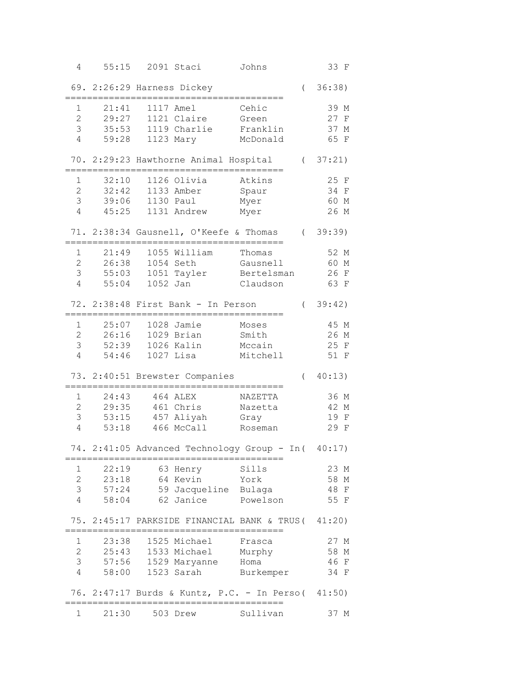| 4                     | 55:15                      |                | 2091 Staci                             | Johns                                                             |            | 33 F    |
|-----------------------|----------------------------|----------------|----------------------------------------|-------------------------------------------------------------------|------------|---------|
|                       | 69. 2:26:29 Harness Dickey |                |                                        |                                                                   | $\left($   | 36:38)  |
| 1                     | 21:41                      |                | 1117 Amel                              | Cehic                                                             |            | 39 M    |
| $\overline{2}$        | 29:27                      |                | 1121 Claire                            | Green                                                             |            | 27 F    |
| 3                     | 35:53                      |                | 1119 Charlie                           | Franklin                                                          |            | 37 M    |
| 4                     | 59:28                      |                | 1123 Mary                              | McDonald                                                          |            | 65 F    |
|                       |                            |                |                                        | 70. 2:29:23 Hawthorne Animal Hospital                             |            | (37:21) |
| 1                     | 32:10                      |                | 1126 Olivia                            | Atkins                                                            |            | 25 F    |
| $\overline{2}$        | 32:42                      |                | 1133 Amber                             | Spaur                                                             |            | 34 F    |
| 3                     | 39:06                      |                | 1130 Paul                              | Myer                                                              |            | 60 M    |
| $\overline{4}$        | 45:25                      |                | 1131 Andrew                            | Myer                                                              |            | 26 M    |
|                       |                            |                | 71. 2:38:34 Gausnell, O'Keefe & Thomas |                                                                   |            | (39:39) |
| $\mathbf 1$           | 21:49                      |                | 1055 William                           | Thomas                                                            |            | 52 M    |
| 2                     | 26:38                      |                | 1054 Seth                              | Gausnell                                                          |            | 60 M    |
| 3                     | 55:03                      |                | 1051 Tayler                            | Bertelsman                                                        |            | 26 F    |
| $\overline{4}$        | 55:04                      | 1052 Jan       |                                        | Claudson                                                          |            | 63 F    |
|                       |                            |                | 72. 2:38:48 First Bank - In Person     |                                                                   | $\sqrt{2}$ | 39:42)  |
| 1                     | 25:07                      |                | 1028 Jamie                             | Moses                                                             |            | 45 M    |
| $\mathbf{2}^{\prime}$ | 26:16                      |                | 1029 Brian                             | Smith                                                             |            | 26 M    |
| 3                     | 52:39                      |                | 1026 Kalin                             | Mccain                                                            |            | 25 F    |
| $\overline{4}$        | 54:46                      |                | 1027 Lisa                              | Mitchell                                                          |            | 51 F    |
|                       |                            |                | 73. 2:40:51 Brewster Companies         |                                                                   | $\left($   | 40:13)  |
| 1                     | 24:43                      |                | 464 ALEX                               | NAZETTA                                                           |            | 36 M    |
| 2                     | 29:35                      |                | 461 Chris                              | Nazetta                                                           |            | 42 M    |
| 3                     |                            |                | 53:15 457 Aliyah                       | Gray                                                              |            | 19 F    |
| $\overline{4}$        | 53:18                      |                | 466 McCall                             | Roseman                                                           |            | 29 F    |
|                       |                            | ============== |                                        | 74. 2:41:05 Advanced Technology Group - In (<br>================= |            | 40:17)  |
| 1                     | 22:19                      |                | 63 Henry                               | Sills                                                             |            | 23 M    |
| $\overline{2}$        |                            |                | 23:18 64 Kevin York                    |                                                                   |            | 58 M    |
| 3                     | 57:24                      |                | 59 Jacqueline Bulaga                   |                                                                   |            | 48 F    |
| 4                     | 58:04                      |                | 62 Janice Powelson                     |                                                                   |            | 55 F    |
|                       |                            |                |                                        | 75. 2:45:17 PARKSIDE FINANCIAL BANK & TRUS ( 41:20)               |            |         |
| 1                     | 23:38                      |                | 1525 Michael                           | Frasca                                                            |            | 27 M    |
| $\overline{c}$        |                            |                | 25:43 1533 Michael Murphy              |                                                                   |            | 58 M    |
| 3                     |                            |                | 57:56 1529 Maryanne Homa               |                                                                   |            | 46 F    |
| $\overline{4}$        | 58:00                      |                |                                        | 1523 Sarah Burkemper                                              |            | 34 F    |
|                       |                            |                |                                        | 76. 2:47:17 Burds & Kuntz, P.C. - In Perso( 41:50)                |            |         |
| 1                     | 21:30 503 Drew             |                |                                        | Sullivan                                                          |            | 37 M    |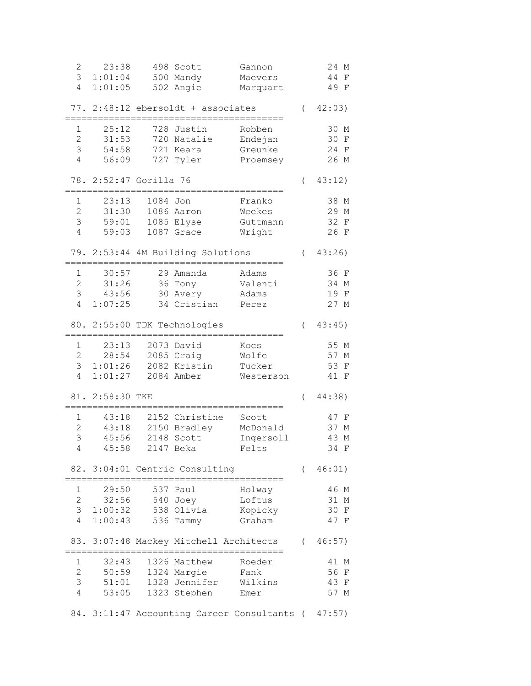| $\mathbf{2}$   | 23:38                  |          | 498 Scott                          | Gannon                                             |                  | 24 M          |
|----------------|------------------------|----------|------------------------------------|----------------------------------------------------|------------------|---------------|
| 3              | 1:01:04                |          | 500 Mandy                          | Maevers                                            |                  | 44<br>F       |
| $\overline{4}$ | 1:01:05                |          | 502 Angie                          | Marquart                                           |                  | 49 F          |
|                |                        |          |                                    |                                                    |                  |               |
|                |                        |          | 77. 2:48:12 ebersoldt + associates |                                                    | $\left($         | 42:03)        |
|                |                        |          |                                    |                                                    |                  |               |
| 1              | 25:12                  |          | 728 Justin                         | Robben                                             |                  | 30 M          |
| $\overline{2}$ | 31:53                  |          | 720 Natalie                        | Endejan                                            |                  | 30 F          |
| 3              | 54:58                  |          | 721 Keara                          | Greunke                                            |                  | 24 F          |
| 4              | 56:09                  |          | 727 Tyler                          | Proemsey                                           |                  | 26 M          |
|                |                        |          |                                    |                                                    |                  |               |
|                | 78. 2:52:47 Gorilla 76 |          |                                    |                                                    | $\overline{(\ }$ | 43:12)        |
|                |                        |          |                                    |                                                    |                  |               |
| $\mathbf 1$    | 23:13                  | 1084 Jon |                                    | Franko                                             |                  | 38 M          |
| $\overline{c}$ | 31:30                  |          | 1086 Aaron                         | Weekes                                             |                  | 29 M          |
| 3              | 59:01                  |          | 1085 Elyse                         | Guttmann                                           |                  | 32 F          |
| 4              | 59:03                  |          | 1087 Grace                         | Wright                                             |                  | 26 F          |
|                |                        |          |                                    |                                                    |                  |               |
|                |                        |          | 79. 2:53:44 4M Building Solutions  |                                                    | $\left($         | 43:26         |
|                |                        |          |                                    |                                                    |                  |               |
| 1              | 30:57                  |          | 29 Amanda                          | Adams                                              |                  | 36 F          |
| $\overline{2}$ | 31:26                  |          | 36 Tony                            | Valenti                                            |                  | 34 M          |
| 3              | 43:56                  |          | 30 Avery                           | Adams                                              |                  | 19 F          |
| $\overline{4}$ | 1:07:25                |          | 34 Cristian                        | Perez                                              |                  | 27 M          |
|                |                        |          |                                    |                                                    |                  |               |
|                |                        |          | 80. 2:55:00 TDK Technologies       |                                                    | $\left($         | 43:45)        |
|                |                        |          |                                    |                                                    |                  |               |
| 1              | 23:13                  | 2073     | David                              | Kocs                                               |                  | 55 M          |
| $\overline{2}$ | 28:54                  |          | 2085 Craig                         | Wolfe                                              |                  | 57 M          |
| 3              | 1:01:26                |          | 2082 Kristin                       | Tucker                                             |                  | 53 F          |
| 4              | 1:01:27                |          | 2084 Amber                         | Westerson                                          |                  | 41 F          |
|                |                        |          |                                    |                                                    |                  |               |
|                | 81. 2:58:30 TKE        |          |                                    |                                                    | $\left($         | 44:38)        |
|                |                        |          |                                    |                                                    |                  |               |
| 1              | 43:18                  |          | 2152 Christine                     | Scott                                              |                  | 47 F          |
| $\overline{c}$ | 43:18                  |          | 2150 Bradley                       | McDonald                                           |                  | 37 M          |
| 3              | 45:56                  |          | 2148 Scott                         | Ingersoll                                          |                  | 43 M          |
| $\overline{4}$ | 45:58                  |          | 2147 Beka                          | Felts                                              |                  | 34 F          |
|                |                        |          |                                    |                                                    |                  |               |
|                |                        |          | 82. 3:04:01 Centric Consulting     |                                                    | $\sqrt{2}$       | 46:01)        |
|                |                        |          |                                    |                                                    |                  |               |
| 1              | 29:50                  |          | 537 Paul                           | Holway                                             |                  | 46 M          |
| $\mathbf{2}$   | 32:56                  |          | 540 Joey                           | Loftus                                             |                  | 31 M          |
| 3              | 1:00:32                |          | 538 Olivia                         | Kopicky                                            |                  | 30<br>$\rm F$ |
| 4              | 1:00:43                |          | 536 Tammy                          | Graham                                             |                  | 47 F          |
|                |                        |          |                                    |                                                    |                  |               |
| 83.            |                        |          | 3:07:48 Mackey Mitchell Architects |                                                    | $\left($         | 46:57)        |
|                |                        |          |                                    |                                                    |                  |               |
| $\mathbf 1$    | 32:43                  |          | 1326 Matthew                       | Roeder                                             |                  | 41 M          |
| $\overline{c}$ | 50:59                  |          | 1324 Margie                        | Fank                                               |                  | 56<br>$\rm F$ |
| 3              | 51:01                  |          | 1328 Jennifer                      | Wilkins                                            |                  | 43<br>F       |
| $\overline{4}$ | 53:05                  |          | 1323 Stephen                       | Emer                                               |                  | 57 M          |
|                |                        |          |                                    |                                                    |                  |               |
|                |                        |          |                                    | 84. 3:11:47 Accounting Career Consultants ( 47:57) |                  |               |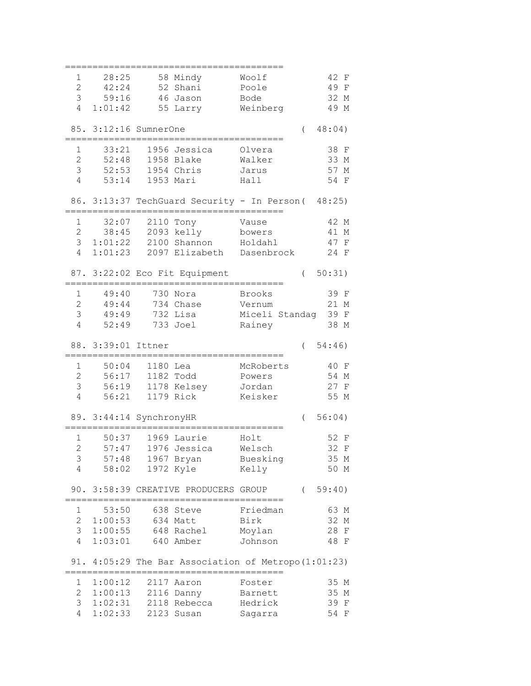| 1              | 28:25                   |          | 58 Mindy                                         | Woolf              |          | 42 F                       |
|----------------|-------------------------|----------|--------------------------------------------------|--------------------|----------|----------------------------|
| $\overline{2}$ | 42:24                   |          | 52 Shani                                         | Poole              |          | 49 F                       |
|                |                         |          |                                                  |                    |          |                            |
| 3              | 59:16                   |          | 46 Jason                                         | Bode               |          | 32 M                       |
| 4              | 1:01:42                 |          | 55 Larry                                         | Weinberg           |          | 49 M                       |
|                |                         |          |                                                  |                    |          |                            |
|                | 85. 3:12:16 SumnerOne   |          |                                                  |                    | $\left($ | 48:04)                     |
|                |                         |          |                                                  |                    |          |                            |
| 1              | 33:21                   |          | 1956 Jessica                                     | Olvera             |          | 38 F                       |
| $\overline{2}$ | 52:48                   |          | 1958 Blake                                       | Walker             |          | 33 M                       |
| 3              | 52:53                   |          | 1954 Chris                                       | Jarus              |          | 57 M                       |
| 4              | 53:14                   |          | 1953 Mari                                        | Hall               |          | 54 F                       |
|                |                         |          |                                                  |                    |          |                            |
|                |                         |          |                                                  |                    |          |                            |
|                |                         |          | 86. 3:13:37 TechGuard Security - In Person (     |                    |          | 48:25)                     |
|                |                         |          |                                                  |                    |          |                            |
| $\mathbf 1$    | 32:07                   |          | 2110 Tony                                        | Vause              |          | 42 M                       |
| 2              | 38:45                   |          | 2093 kelly                                       | bowers             |          | 41 M                       |
| 3              |                         |          | $1:01:22$ 2100 Shannon                           | Holdahl            |          | 47 F                       |
| 4              | 1:01:23                 |          | 2097 Elizabeth Dasenbrock                        |                    |          | 24 F                       |
|                |                         |          |                                                  |                    |          |                            |
|                |                         |          | 87. 3:22:02 Eco Fit Equipment                    |                    | $\left($ | 50:31)                     |
|                |                         |          |                                                  |                    |          |                            |
| 1              | 49:40                   |          | 730 Nora                                         | Brooks             |          | 39 F                       |
| $\overline{2}$ | 49:44                   |          | 734 Chase                                        | Vernum             |          | 21 M                       |
| 3              | 49:49                   |          | 732 Lisa                                         |                    |          | 39 F                       |
|                |                         |          |                                                  | Miceli Standag     |          |                            |
| $\overline{4}$ | 52:49                   |          | 733 Joel                                         | Rainey             |          | 38 M                       |
|                |                         |          |                                                  |                    |          |                            |
|                |                         |          |                                                  |                    |          |                            |
|                | 88. 3:39:01 Ittner      |          |                                                  |                    | $\left($ | 54:46)                     |
|                |                         |          |                                                  |                    |          |                            |
| 1              | 50:04                   | 1180 Lea |                                                  | McRoberts          |          | 40 F                       |
| 2              | 56:17                   |          | 1182 Todd                                        | Powers             |          | 54 M                       |
| 3              |                         |          | 56:19 1178 Kelsey                                | Jordan             |          | 27 F                       |
| $\overline{4}$ | 56:21                   |          | 1179 Rick                                        | Keisker            |          | 55 M                       |
|                |                         |          |                                                  |                    |          |                            |
|                |                         |          |                                                  |                    | $\left($ | 56:04)                     |
|                | 89. 3:44:14 SynchronyHR |          |                                                  |                    |          |                            |
| 1              | 50:37                   |          | 1969 Laurie                                      | Holt               |          | 52 F                       |
|                |                         |          |                                                  |                    |          |                            |
| $\overline{c}$ | 57:47                   |          | 1976 Jessica                                     | Welsch             |          | 32 F                       |
| 3              | 57:48                   |          | 1967 Bryan                                       | Buesking           |          | 35 M                       |
| 4              | 58:02                   |          | 1972 Kyle                                        | Kelly              |          | 50 M                       |
|                |                         |          |                                                  |                    |          |                            |
| 90.            |                         |          | 3:58:39 CREATIVE PRODUCERS GROUP                 |                    | $\left($ | 59:40)                     |
|                |                         |          |                                                  |                    |          |                            |
| 1              | 53:50                   |          | 638 Steve                                        | Friedman           |          | 63 M                       |
| $\overline{2}$ | 1:00:53                 |          | 634 Matt                                         | Birk               |          | 32 M                       |
| 3              | 1:00:55                 |          | 648 Rachel                                       | Moylan             |          | 28 F                       |
| 4              | 1:03:01                 |          | 640 Amber                                        | Johnson            |          | 48 F                       |
|                |                         |          |                                                  |                    |          |                            |
| 91.            |                         |          | 4:05:29 The Bar Association of Metropo (1:01:23) |                    |          |                            |
|                |                         |          | ---------------------------                      |                    |          |                            |
| 1              | 1:00:12                 |          | 2117 Aaron                                       | Foster             |          | 35 M                       |
|                |                         |          |                                                  |                    |          |                            |
| $\overline{2}$ | 1:00:13                 |          | 2116 Danny                                       | Barnett            |          | 35 M                       |
| 3<br>4         | 1:02:31<br>1:02:33      |          | 2118 Rebecca<br>2123 Susan                       | Hedrick<br>Sagarra |          | 39<br>$\mathbf{F}$<br>54 F |